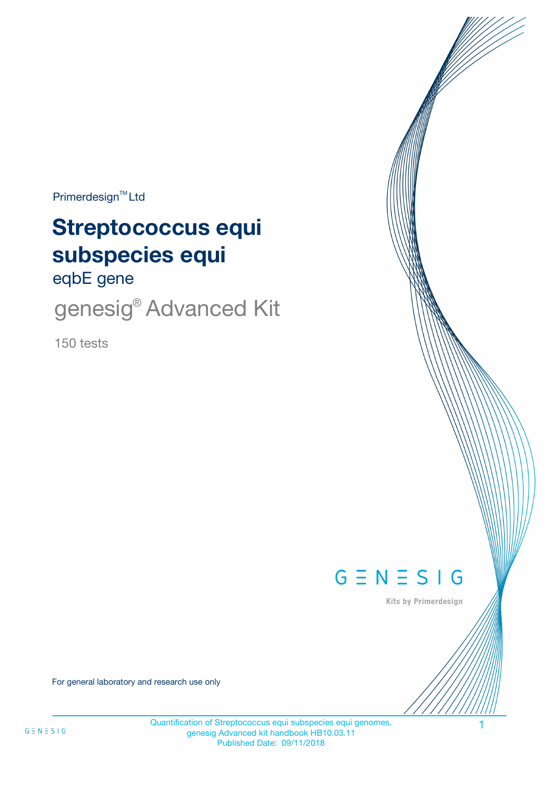$Primerdesign^{\text{TM}}$ Ltd

# **Streptococcus equi subspecies equi**

eqbE gene

genesig<sup>®</sup> Advanced Kit

150 tests



Kits by Primerdesign

For general laboratory and research use only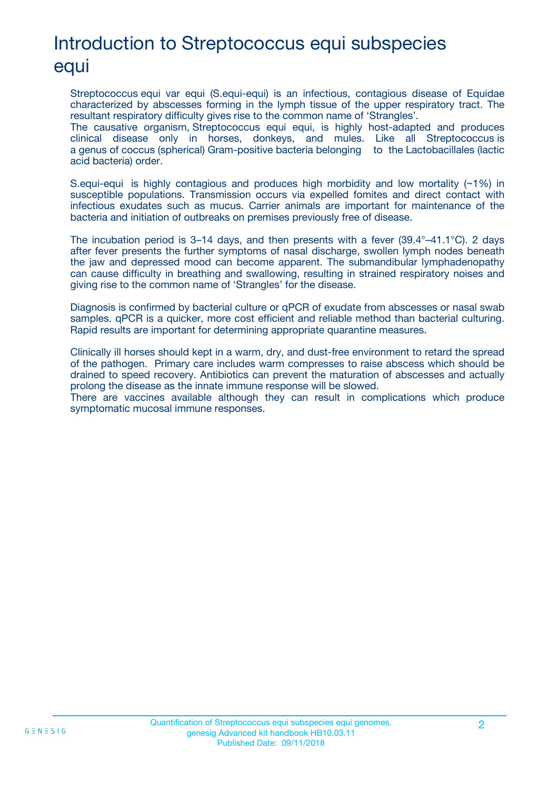# Introduction to Streptococcus equi subspecies equi

Streptococcus equi var equi (S.equi-equi) is an infectious, contagious disease of Equidae characterized by abscesses forming in the lymph tissue of the upper respiratory tract. The resultant respiratory difficulty gives rise to the common name of 'Strangles'.

The causative organism, Streptococcus equi equi, is highly host-adapted and produces clinical disease only in horses, donkeys, and mules. Like all Streptococcus is a genus of coccus (spherical) Gram-positive bacteria belonging to the Lactobacillales (lactic acid bacteria) order.

S.equi-equi is highly contagious and produces high morbidity and low mortality (~1%) in susceptible populations. Transmission occurs via expelled fomites and direct contact with infectious exudates such as mucus. Carrier animals are important for maintenance of the bacteria and initiation of outbreaks on premises previously free of disease.

The incubation period is 3–14 days, and then presents with a fever  $(39.4^{\circ}-41.1^{\circ}C)$ . 2 days after fever presents the further symptoms of nasal discharge, swollen lymph nodes beneath the jaw and depressed mood can become apparent. The submandibular lymphadenopathy can cause difficulty in breathing and swallowing, resulting in strained respiratory noises and giving rise to the common name of 'Strangles' for the disease.

Diagnosis is confirmed by bacterial culture or qPCR of exudate from abscesses or nasal swab samples. qPCR is a quicker, more cost efficient and reliable method than bacterial culturing. Rapid results are important for determining appropriate quarantine measures.

Clinically ill horses should kept in a warm, dry, and dust-free environment to retard the spread of the pathogen. Primary care includes warm compresses to raise abscess which should be drained to speed recovery. Antibiotics can prevent the maturation of abscesses and actually prolong the disease as the innate immune response will be slowed.

There are vaccines available although they can result in complications which produce symptomatic mucosal immune responses.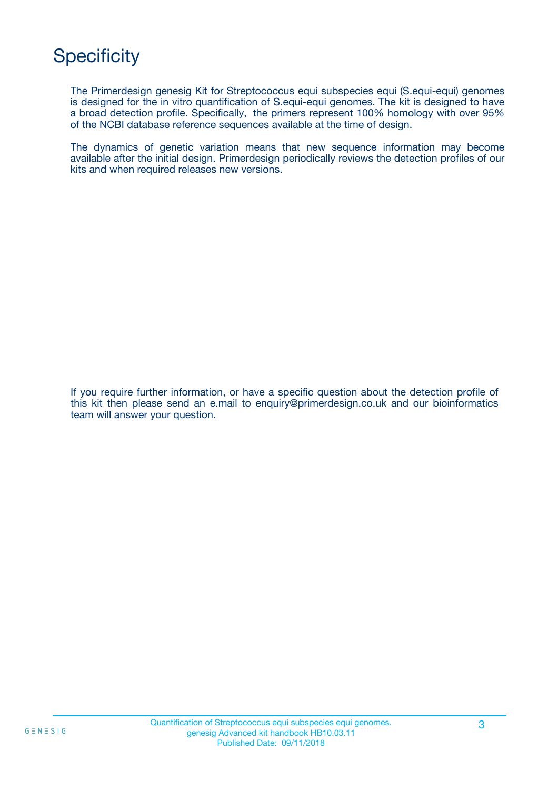# **Specificity**

The Primerdesign genesig Kit for Streptococcus equi subspecies equi (S.equi-equi) genomes is designed for the in vitro quantification of S.equi-equi genomes. The kit is designed to have a broad detection profile. Specifically, the primers represent 100% homology with over 95% of the NCBI database reference sequences available at the time of design.

The dynamics of genetic variation means that new sequence information may become available after the initial design. Primerdesign periodically reviews the detection profiles of our kits and when required releases new versions.

If you require further information, or have a specific question about the detection profile of this kit then please send an e.mail to enquiry@primerdesign.co.uk and our bioinformatics team will answer your question.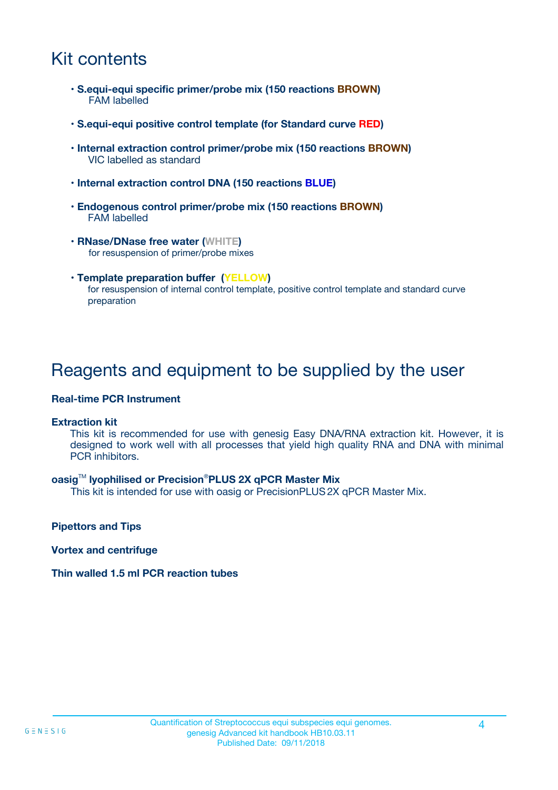# Kit contents

- **S.equi-equi specific primer/probe mix (150 reactions BROWN)** FAM labelled
- **S.equi-equi positive control template (for Standard curve RED)**
- **Internal extraction control primer/probe mix (150 reactions BROWN)** VIC labelled as standard
- **Internal extraction control DNA (150 reactions BLUE)**
- **Endogenous control primer/probe mix (150 reactions BROWN)** FAM labelled
- **RNase/DNase free water (WHITE)** for resuspension of primer/probe mixes
- **Template preparation buffer (YELLOW)** for resuspension of internal control template, positive control template and standard curve preparation

### Reagents and equipment to be supplied by the user

#### **Real-time PCR Instrument**

#### **Extraction kit**

This kit is recommended for use with genesig Easy DNA/RNA extraction kit. However, it is designed to work well with all processes that yield high quality RNA and DNA with minimal PCR inhibitors.

#### **oasig**TM **lyophilised or Precision**®**PLUS 2X qPCR Master Mix**

This kit is intended for use with oasig or PrecisionPLUS2X qPCR Master Mix.

**Pipettors and Tips**

**Vortex and centrifuge**

#### **Thin walled 1.5 ml PCR reaction tubes**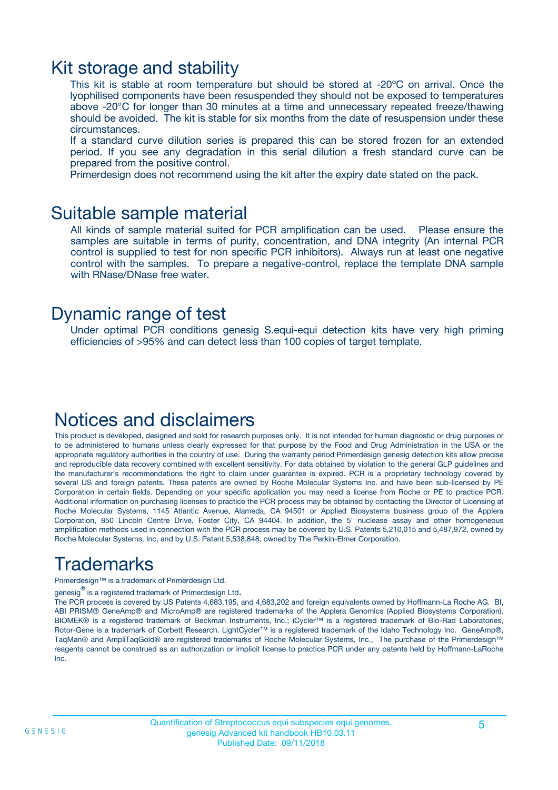### Kit storage and stability

This kit is stable at room temperature but should be stored at -20ºC on arrival. Once the lyophilised components have been resuspended they should not be exposed to temperatures above -20°C for longer than 30 minutes at a time and unnecessary repeated freeze/thawing should be avoided. The kit is stable for six months from the date of resuspension under these circumstances.

If a standard curve dilution series is prepared this can be stored frozen for an extended period. If you see any degradation in this serial dilution a fresh standard curve can be prepared from the positive control.

Primerdesign does not recommend using the kit after the expiry date stated on the pack.

### Suitable sample material

All kinds of sample material suited for PCR amplification can be used. Please ensure the samples are suitable in terms of purity, concentration, and DNA integrity (An internal PCR control is supplied to test for non specific PCR inhibitors). Always run at least one negative control with the samples. To prepare a negative-control, replace the template DNA sample with RNase/DNase free water.

### Dynamic range of test

Under optimal PCR conditions genesig S.equi-equi detection kits have very high priming efficiencies of >95% and can detect less than 100 copies of target template.

### Notices and disclaimers

This product is developed, designed and sold for research purposes only. It is not intended for human diagnostic or drug purposes or to be administered to humans unless clearly expressed for that purpose by the Food and Drug Administration in the USA or the appropriate regulatory authorities in the country of use. During the warranty period Primerdesign genesig detection kits allow precise and reproducible data recovery combined with excellent sensitivity. For data obtained by violation to the general GLP guidelines and the manufacturer's recommendations the right to claim under guarantee is expired. PCR is a proprietary technology covered by several US and foreign patents. These patents are owned by Roche Molecular Systems Inc. and have been sub-licensed by PE Corporation in certain fields. Depending on your specific application you may need a license from Roche or PE to practice PCR. Additional information on purchasing licenses to practice the PCR process may be obtained by contacting the Director of Licensing at Roche Molecular Systems, 1145 Atlantic Avenue, Alameda, CA 94501 or Applied Biosystems business group of the Applera Corporation, 850 Lincoln Centre Drive, Foster City, CA 94404. In addition, the 5' nuclease assay and other homogeneous amplification methods used in connection with the PCR process may be covered by U.S. Patents 5,210,015 and 5,487,972, owned by Roche Molecular Systems, Inc, and by U.S. Patent 5,538,848, owned by The Perkin-Elmer Corporation.

# Trademarks

Primerdesign™ is a trademark of Primerdesign Ltd.

genesig $^\circledR$  is a registered trademark of Primerdesign Ltd.

The PCR process is covered by US Patents 4,683,195, and 4,683,202 and foreign equivalents owned by Hoffmann-La Roche AG. BI, ABI PRISM® GeneAmp® and MicroAmp® are registered trademarks of the Applera Genomics (Applied Biosystems Corporation). BIOMEK® is a registered trademark of Beckman Instruments, Inc.; iCycler™ is a registered trademark of Bio-Rad Laboratories, Rotor-Gene is a trademark of Corbett Research. LightCycler™ is a registered trademark of the Idaho Technology Inc. GeneAmp®, TaqMan® and AmpliTaqGold® are registered trademarks of Roche Molecular Systems, Inc., The purchase of the Primerdesign™ reagents cannot be construed as an authorization or implicit license to practice PCR under any patents held by Hoffmann-LaRoche Inc.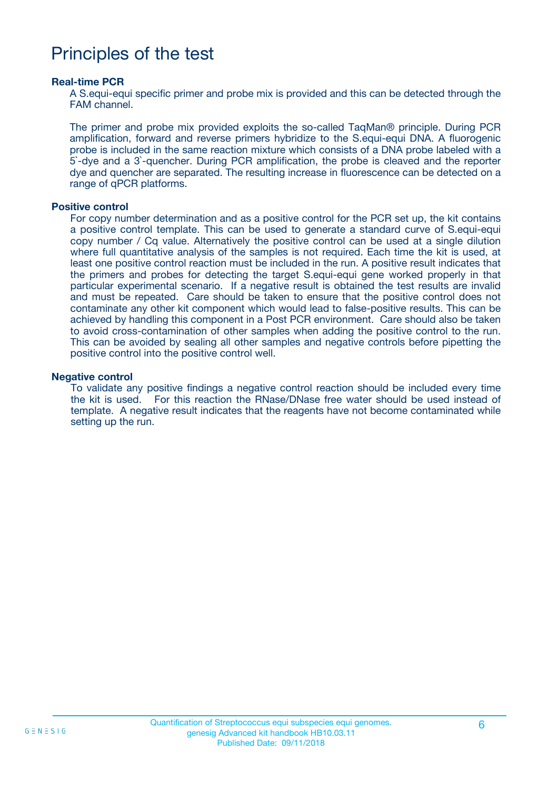## Principles of the test

#### **Real-time PCR**

A S.equi-equi specific primer and probe mix is provided and this can be detected through the FAM channel.

The primer and probe mix provided exploits the so-called TaqMan® principle. During PCR amplification, forward and reverse primers hybridize to the S.equi-equi DNA. A fluorogenic probe is included in the same reaction mixture which consists of a DNA probe labeled with a 5`-dye and a 3`-quencher. During PCR amplification, the probe is cleaved and the reporter dye and quencher are separated. The resulting increase in fluorescence can be detected on a range of qPCR platforms.

#### **Positive control**

For copy number determination and as a positive control for the PCR set up, the kit contains a positive control template. This can be used to generate a standard curve of S.equi-equi copy number / Cq value. Alternatively the positive control can be used at a single dilution where full quantitative analysis of the samples is not required. Each time the kit is used, at least one positive control reaction must be included in the run. A positive result indicates that the primers and probes for detecting the target S.equi-equi gene worked properly in that particular experimental scenario. If a negative result is obtained the test results are invalid and must be repeated. Care should be taken to ensure that the positive control does not contaminate any other kit component which would lead to false-positive results. This can be achieved by handling this component in a Post PCR environment. Care should also be taken to avoid cross-contamination of other samples when adding the positive control to the run. This can be avoided by sealing all other samples and negative controls before pipetting the positive control into the positive control well.

#### **Negative control**

To validate any positive findings a negative control reaction should be included every time the kit is used. For this reaction the RNase/DNase free water should be used instead of template. A negative result indicates that the reagents have not become contaminated while setting up the run.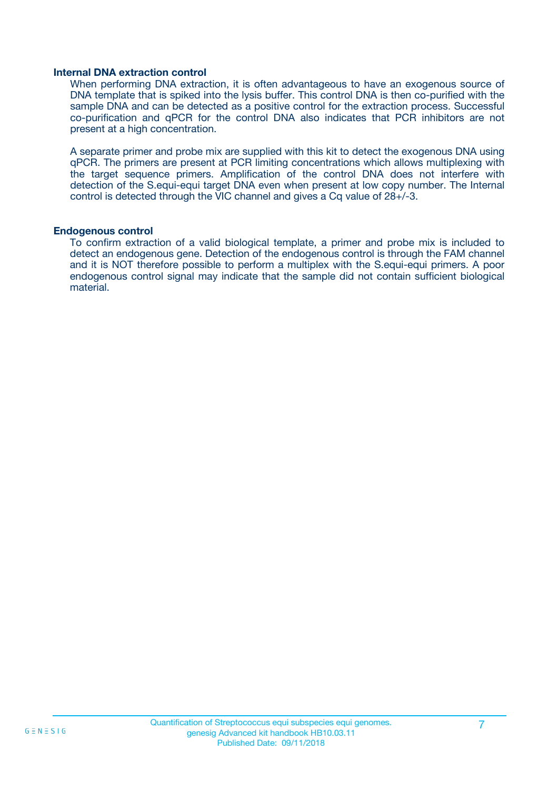#### **Internal DNA extraction control**

When performing DNA extraction, it is often advantageous to have an exogenous source of DNA template that is spiked into the lysis buffer. This control DNA is then co-purified with the sample DNA and can be detected as a positive control for the extraction process. Successful co-purification and qPCR for the control DNA also indicates that PCR inhibitors are not present at a high concentration.

A separate primer and probe mix are supplied with this kit to detect the exogenous DNA using qPCR. The primers are present at PCR limiting concentrations which allows multiplexing with the target sequence primers. Amplification of the control DNA does not interfere with detection of the S.equi-equi target DNA even when present at low copy number. The Internal control is detected through the VIC channel and gives a Cq value of 28+/-3.

#### **Endogenous control**

To confirm extraction of a valid biological template, a primer and probe mix is included to detect an endogenous gene. Detection of the endogenous control is through the FAM channel and it is NOT therefore possible to perform a multiplex with the S.equi-equi primers. A poor endogenous control signal may indicate that the sample did not contain sufficient biological material.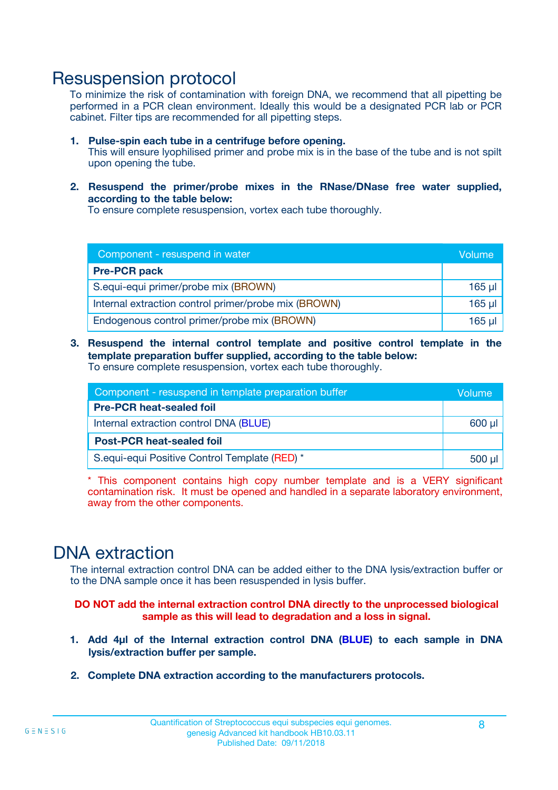### Resuspension protocol

To minimize the risk of contamination with foreign DNA, we recommend that all pipetting be performed in a PCR clean environment. Ideally this would be a designated PCR lab or PCR cabinet. Filter tips are recommended for all pipetting steps.

- **1. Pulse-spin each tube in a centrifuge before opening.** This will ensure lyophilised primer and probe mix is in the base of the tube and is not spilt upon opening the tube.
- **2. Resuspend the primer/probe mixes in the RNase/DNase free water supplied, according to the table below:**

To ensure complete resuspension, vortex each tube thoroughly.

| Component - resuspend in water                       |         |  |
|------------------------------------------------------|---------|--|
| <b>Pre-PCR pack</b>                                  |         |  |
| S.equi-equi primer/probe mix (BROWN)                 | $165$ µ |  |
| Internal extraction control primer/probe mix (BROWN) | $165$ µ |  |
| Endogenous control primer/probe mix (BROWN)          | 165 µl  |  |

**3. Resuspend the internal control template and positive control template in the template preparation buffer supplied, according to the table below:** To ensure complete resuspension, vortex each tube thoroughly.

| Component - resuspend in template preparation buffer |  |  |
|------------------------------------------------------|--|--|
| <b>Pre-PCR heat-sealed foil</b>                      |  |  |
| Internal extraction control DNA (BLUE)               |  |  |
| <b>Post-PCR heat-sealed foil</b>                     |  |  |
| S.equi-equi Positive Control Template (RED) *        |  |  |

\* This component contains high copy number template and is a VERY significant contamination risk. It must be opened and handled in a separate laboratory environment, away from the other components.

### DNA extraction

The internal extraction control DNA can be added either to the DNA lysis/extraction buffer or to the DNA sample once it has been resuspended in lysis buffer.

**DO NOT add the internal extraction control DNA directly to the unprocessed biological sample as this will lead to degradation and a loss in signal.**

- **1. Add 4µl of the Internal extraction control DNA (BLUE) to each sample in DNA lysis/extraction buffer per sample.**
- **2. Complete DNA extraction according to the manufacturers protocols.**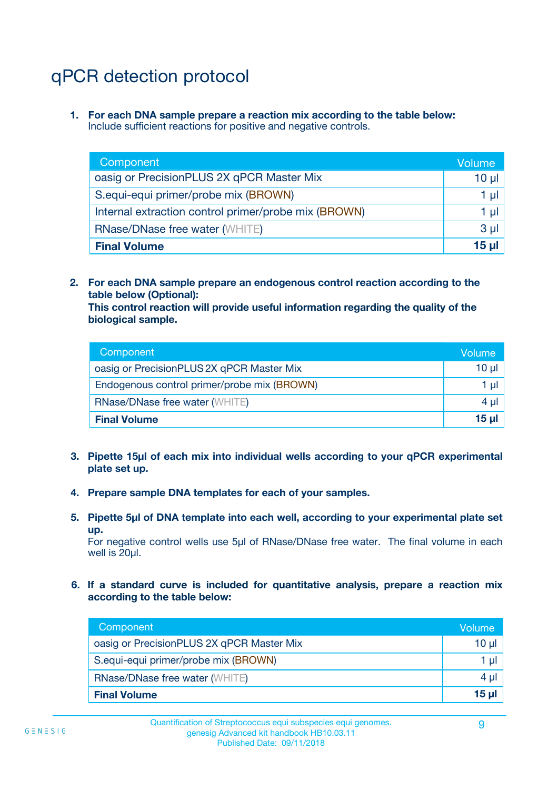# qPCR detection protocol

**1. For each DNA sample prepare a reaction mix according to the table below:** Include sufficient reactions for positive and negative controls.

| Component                                            | Volume   |
|------------------------------------------------------|----------|
| oasig or PrecisionPLUS 2X qPCR Master Mix            | $10 \mu$ |
| S.equi-equi primer/probe mix (BROWN)                 | 1 µI l   |
| Internal extraction control primer/probe mix (BROWN) | 1 µl     |
| <b>RNase/DNase free water (WHITE)</b>                | $3 \mu$  |
| <b>Final Volume</b>                                  | 15 µl    |

**2. For each DNA sample prepare an endogenous control reaction according to the table below (Optional):**

**This control reaction will provide useful information regarding the quality of the biological sample.**

| Component                                   | Volume   |
|---------------------------------------------|----------|
| oasig or PrecisionPLUS 2X qPCR Master Mix   | $10 \mu$ |
| Endogenous control primer/probe mix (BROWN) | 1 µI     |
| <b>RNase/DNase free water (WHITE)</b>       | $4 \mu$  |
| <b>Final Volume</b>                         | 15 µl    |

- **3. Pipette 15µl of each mix into individual wells according to your qPCR experimental plate set up.**
- **4. Prepare sample DNA templates for each of your samples.**
- **5. Pipette 5µl of DNA template into each well, according to your experimental plate set up.**

For negative control wells use 5µl of RNase/DNase free water. The final volume in each well is 20ul.

**6. If a standard curve is included for quantitative analysis, prepare a reaction mix according to the table below:**

| Component                                 | Volume          |
|-------------------------------------------|-----------------|
| oasig or PrecisionPLUS 2X qPCR Master Mix | $10 \mu$        |
| S.equi-equi primer/probe mix (BROWN)      | 1 µI I          |
| <b>RNase/DNase free water (WHITE)</b>     | 4 µl            |
| <b>Final Volume</b>                       | 15 <sub>µ</sub> |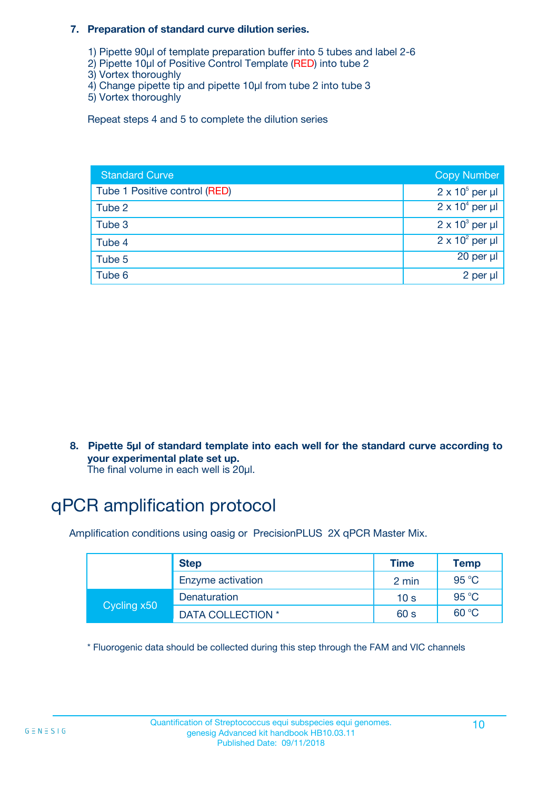#### **7. Preparation of standard curve dilution series.**

- 1) Pipette 90µl of template preparation buffer into 5 tubes and label 2-6
- 2) Pipette 10µl of Positive Control Template (RED) into tube 2
- 3) Vortex thoroughly
- 4) Change pipette tip and pipette 10µl from tube 2 into tube 3
- 5) Vortex thoroughly

Repeat steps 4 and 5 to complete the dilution series

| <b>Standard Curve</b>         | <b>Copy Number</b>     |
|-------------------------------|------------------------|
| Tube 1 Positive control (RED) | $2 \times 10^5$ per µl |
| Tube 2                        | $2 \times 10^4$ per µl |
| Tube 3                        | $2 \times 10^3$ per µl |
| Tube 4                        | $2 \times 10^2$ per µl |
| Tube 5                        | 20 per µl              |
| Tube 6                        | 2 per µl               |

**8. Pipette 5µl of standard template into each well for the standard curve according to your experimental plate set up.**

#### The final volume in each well is 20µl.

## qPCR amplification protocol

Amplification conditions using oasig or PrecisionPLUS 2X qPCR Master Mix.

|             | <b>Step</b>       | <b>Time</b>     | Temp    |
|-------------|-------------------|-----------------|---------|
|             | Enzyme activation | 2 min           | 95 °C   |
| Cycling x50 | Denaturation      | 10 <sub>s</sub> | 95 $°C$ |
|             | DATA COLLECTION * | 60 s            | 60 °C   |

\* Fluorogenic data should be collected during this step through the FAM and VIC channels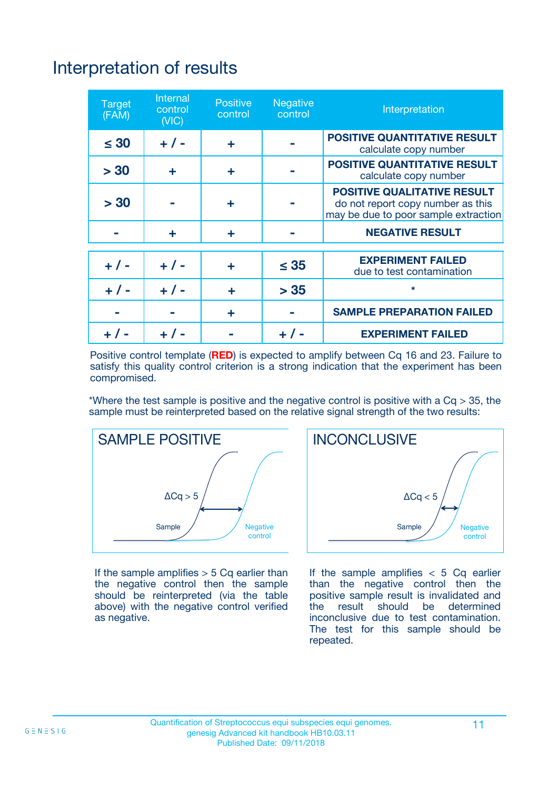# Interpretation of results

| <b>Target</b><br>(FAM) | <b>Internal</b><br>control<br>(NIC) | <b>Positive</b><br>control | <b>Negative</b><br>control | Interpretation                                                                                                  |
|------------------------|-------------------------------------|----------------------------|----------------------------|-----------------------------------------------------------------------------------------------------------------|
| $\leq 30$              | $+ 1 -$                             | ÷                          |                            | <b>POSITIVE QUANTITATIVE RESULT</b><br>calculate copy number                                                    |
| > 30                   | ٠                                   | ÷                          |                            | <b>POSITIVE QUANTITATIVE RESULT</b><br>calculate copy number                                                    |
| > 30                   |                                     | ÷                          |                            | <b>POSITIVE QUALITATIVE RESULT</b><br>do not report copy number as this<br>may be due to poor sample extraction |
|                        | ÷                                   | ÷                          |                            | <b>NEGATIVE RESULT</b>                                                                                          |
| $+ 1 -$                | $+ 1 -$                             | ÷                          | $\leq$ 35                  | <b>EXPERIMENT FAILED</b><br>due to test contamination                                                           |
| $+$ / -                | $+ 1 -$                             | ÷                          | > 35                       | $\star$                                                                                                         |
|                        |                                     | ÷                          |                            | <b>SAMPLE PREPARATION FAILED</b>                                                                                |
|                        |                                     |                            | $+$ /                      | <b>EXPERIMENT FAILED</b>                                                                                        |

Positive control template (**RED**) is expected to amplify between Cq 16 and 23. Failure to satisfy this quality control criterion is a strong indication that the experiment has been compromised.

\*Where the test sample is positive and the negative control is positive with a  $Ca > 35$ , the sample must be reinterpreted based on the relative signal strength of the two results:



If the sample amplifies  $> 5$  Cq earlier than the negative control then the sample should be reinterpreted (via the table above) with the negative control verified as negative.



If the sample amplifies  $< 5$  Cq earlier than the negative control then the positive sample result is invalidated and<br>the result should be determined  $the$  result should be inconclusive due to test contamination. The test for this sample should be repeated.